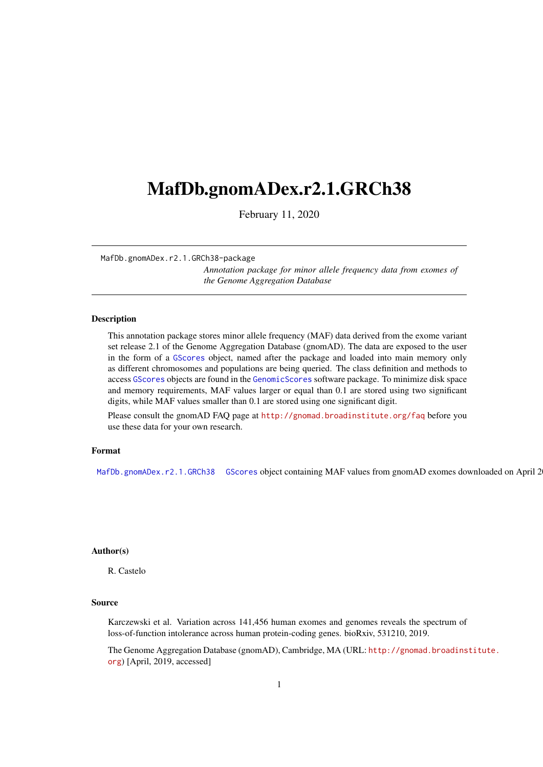# <span id="page-0-2"></span><span id="page-0-1"></span>MafDb.gnomADex.r2.1.GRCh38

February 11, 2020

MafDb.gnomADex.r2.1.GRCh38-package

*Annotation package for minor allele frequency data from exomes of the Genome Aggregation Database*

#### <span id="page-0-0"></span>Description

This annotation package stores minor allele frequency (MAF) data derived from the exome variant set release 2.1 of the Genome Aggregation Database (gnomAD). The data are exposed to the user in the form of a GScores object, named after the package and loaded into main memory only as different chromosomes and populations are being queried. The class definition and methods to access GScores objects are found in the GenomicScores software package. To minimize disk space and memory requirements, MAF values larger or equal than 0.1 are stored using two significant digits, while MAF values smaller than 0.1 are stored using one significant digit.

Please consult the gnomAD FAQ page at <http://gnomad.broadinstitute.org/faq> before you use these data for your own research.

## Format

[MafDb.gnomADex.r2.1.GRCh38](#page-0-0) GScores object containing MAF values from gnomAD exomes downloaded on April 2

#### Author(s)

R. Castelo

#### Source

Karczewski et al. Variation across 141,456 human exomes and genomes reveals the spectrum of loss-of-function intolerance across human protein-coding genes. bioRxiv, 531210, 2019.

The Genome Aggregation Database (gnomAD), Cambridge, MA (URL: [http://gnomad.broadins](http://gnomad.broadinstitute.org)titute. [org](http://gnomad.broadinstitute.org)) [April, 2019, accessed]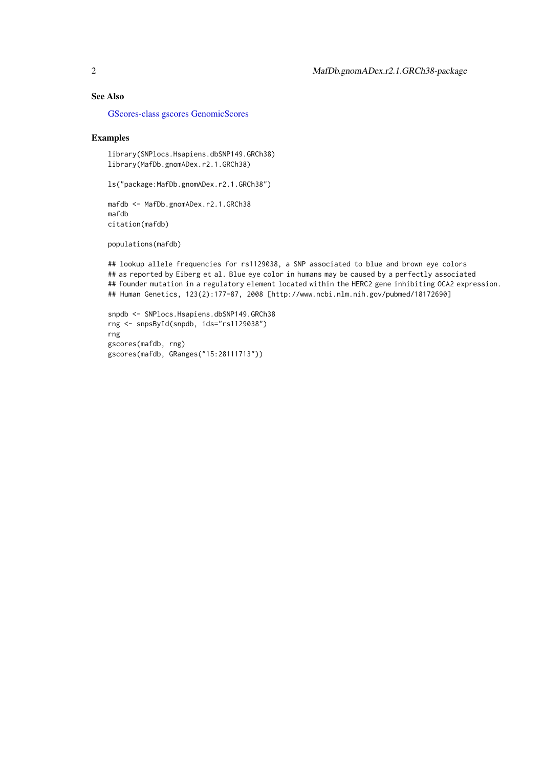### See Also

[GScores-class](#page-0-1) [gscores](#page-0-1) [GenomicScores](#page-0-1)

### Examples

library(SNPlocs.Hsapiens.dbSNP149.GRCh38) library(MafDb.gnomADex.r2.1.GRCh38)

ls("package:MafDb.gnomADex.r2.1.GRCh38")

mafdb <- MafDb.gnomADex.r2.1.GRCh38 mafdb citation(mafdb)

populations(mafdb)

## lookup allele frequencies for rs1129038, a SNP associated to blue and brown eye colors ## as reported by Eiberg et al. Blue eye color in humans may be caused by a perfectly associated ## founder mutation in a regulatory element located within the HERC2 gene inhibiting OCA2 expression. ## Human Genetics, 123(2):177-87, 2008 [http://www.ncbi.nlm.nih.gov/pubmed/18172690]

```
snpdb <- SNPlocs.Hsapiens.dbSNP149.GRCh38
rng <- snpsById(snpdb, ids="rs1129038")
rng
gscores(mafdb, rng)
gscores(mafdb, GRanges("15:28111713"))
```
<span id="page-1-0"></span>